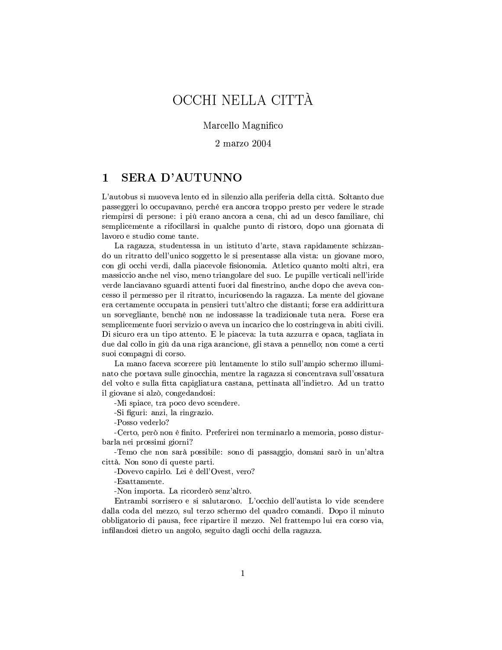# OCCHI NELLA CITTÀ

# Marcello Magnifico

 $2$  marzo  $2004$ 

#### **SERA D'AUTUNNO**  $\mathbf{1}$

L'autobus si muoveva lento ed in silenzio alla periferia della città. Soltanto due passeggeri lo occupavano, perché era ancora troppo presto per vedere le strade riempirsi di persone: i più erano ancora a cena, chi ad un desco familiare, chi semplicemente a rifocillarsi in qualche punto di ristoro, dopo una giornata di lavoro e studio come tante.

La ragazza, studentessa in un istituto d'arte, stava rapidamente schizzando un ritratto dell'unico soggetto le si presentasse alla vista: un giovane moro, con gli occhi verdi, dalla piacevole fisionomia. Atletico quanto molti altri, era massiccio anche nel viso, meno triangolare del suo. Le pupille verticali nell'iride verde lanciavano sguardi attenti fuori dal finestrino, anche dopo che aveva concesso il permesso per il ritratto, incuriosendo la ragazza. La mente del giovane era certamente occupata in pensieri tutt'altro che distanti; forse era addirittura un sorvegliante, benché non ne indossasse la tradizionale tuta nera. Forse era semplicemente fuori servizio o aveva un incarico che lo costringeva in abiti civili. Di sicuro era un tipo attento. E le piaceva: la tuta azzurra e opaca, tagliata in due dal collo in giù da una riga arancione, gli stava a pennello; non come a certi suoi compagni di corso.

La mano faceva scorrere più lentamente lo stilo sull'ampio schermo illuminato che portava sulle ginocchia, mentre la ragazza si concentrava sull'ossatura del volto e sulla fitta capigliatura castana, pettinata all'indietro. Ad un tratto il giovane si alzò, congedandosi:

-Mi spiace, tra poco devo scendere.

-Si figuri: anzi, la ringrazio.

-Posso vederlo?

-Certo, però non è finito. Preferirei non terminarlo a memoria, posso disturbarla nei prossimi giorni?

-Temo che non sarà possibile: sono di passaggio, domani sarò in un'altra città. Non sono di queste parti.

-Dovevo capirlo. Lei è dell'Ovest, vero?

-Esattamente.

-Non importa. La ricorderò senz'altro.

Entrambi sorrisero e si salutarono. L'occhio dell'autista lo vide scendere dalla coda del mezzo, sul terzo schermo del quadro comandi. Dopo il minuto obbligatorio di pausa, fece ripartire il mezzo. Nel frattempo lui era corso via, infilandosi dietro un angolo, seguito dagli occhi della ragazza.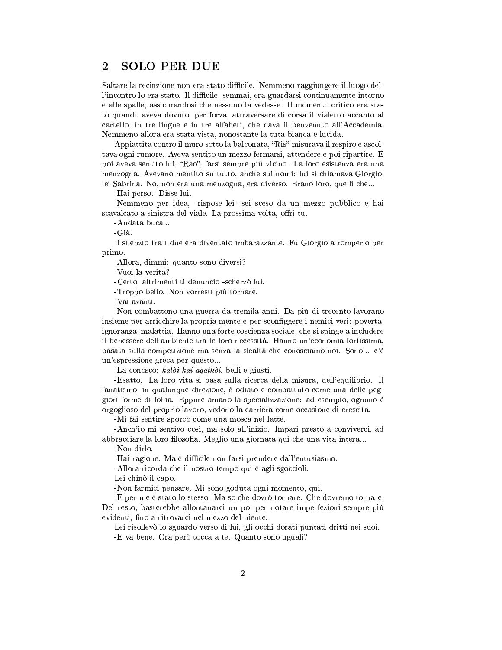## **SOLO PER DUE**  $\bf{2}$

Saltare la recinzione non era stato difficile. Nemmeno raggiungere il luogo dell'incontro lo era stato. Il difficile, semmai, era guardarsi continuamente intorno e alle spalle, assicurandosi che nessuno la vedesse. Il momento critico era stato quando aveva dovuto, per forza, attraversare di corsa il vialetto accanto al cartello, in tre lingue e in tre alfabeti, che dava il benvenuto all'Accademia. Nemmeno allora era stata vista, nonostante la tuta bianca e lucida.

Appiattita contro il muro sotto la balconata, "Ris" misurava il respiro e ascoltava ogni rumore. Aveva sentito un mezzo fermarsi, attendere e poi ripartire. E poi aveva sentito lui, "Rao", farsi sempre più vicino. La loro esistenza era una menzogna. Avevano mentito su tutto, anche sui nomi: lui si chiamava Giorgio, lei Sabrina. No, non era una menzogna, era diverso. Erano loro, quelli che...

-Hai perso - Disse lui.

-Nemmeno per idea, -rispose lei- sei sceso da un mezzo pubblico e hai scavalcato a sinistra del viale. La prossima volta, offri tu.

-Andata buca...

-Già.

Il silenzio tra i due era diventato imbarazzante. Fu Giorgio a romperlo per primo.

-Allora, dimmi: quanto sono diversi?

-Vuoi la verità?

-Certo, altrimenti ti denuncio -scherzò lui.

-Troppo bello. Non vorresti più tornare.

-Vai avanti.

-Non combattono una guerra da tremila anni. Da più di trecento lavorano insieme per arricchire la propria mente e per sconfiggere i nemici veri: povertà, ignoranza, malattia. Hanno una forte coscienza sociale, che si spinge a includere il benessere dell'ambiente tra le loro necessità. Hanno un'economia fortissima, basata sulla competizione ma senza la slealtà che conosciamo noi. Sono... c'è un'espressione greca per questo...

-La conosco: kalòi kai agathòi, belli e giusti.

-Esatto. La loro vita si basa sulla ricerca della misura, dell'equilibrio. Il fanatismo, in qualunque direzione, è odiato e combattuto come una delle peggiori forme di follia. Eppure amano la specializzazione: ad esempio, ognuno è orgoglioso del proprio lavoro, vedono la carriera come occasione di crescita.

-Mi fai sentire sporco come una mosca nel latte.

-Anch'io mi sentivo così, ma solo all'inizio. Impari presto a conviverci, ad abbracciare la loro filosofia. Meglio una giornata qui che una vita intera...

-Non dirlo.

-Hai ragione. Ma è difficile non farsi prendere dall'entusiasmo.

-Allora ricorda che il nostro tempo qui è agli sgoccioli.

Lei chinò il capo.

-Non farmici pensare. Mi sono goduta ogni momento, qui.

-E per me è stato lo stesso. Ma so che dovrò tornare. Che dovremo tornare. Del resto, basterebbe allontanarci un po' per notare imperfezioni sempre più evidenti, fino a ritrovarci nel mezzo del niente.

Lei risollevò lo sguardo verso di lui, gli occhi dorati puntati dritti nei suoi. -E va bene. Ora però tocca a te. Quanto sono uguali?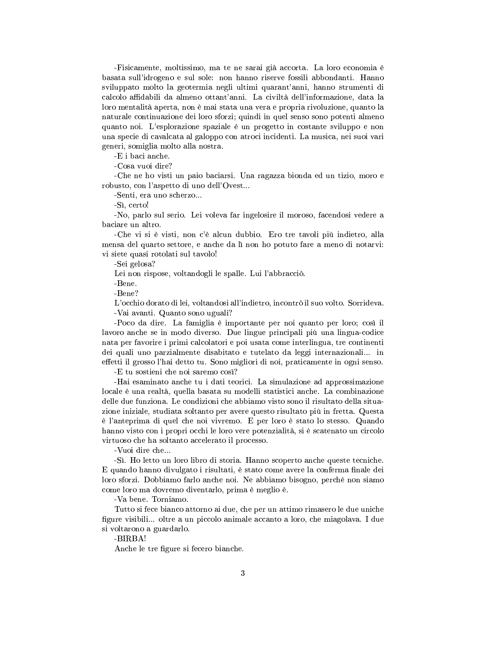-Fisicamente, moltissimo, ma te ne sarai già accorta. La loro economia è basata sull'idrogeno e sul sole: non hanno riserve fossili abbondanti. Hanno sviluppato molto la geotermia negli ultimi quarant'anni, hanno strumenti di calcolo affidabili da almeno ottant'anni. La civiltà dell'informazione, data la loro mentalità aperta, non è mai stata una vera e propria rivoluzione, quanto la naturale continuazione dei loro sforzi; quindi in quel senso sono potenti almeno quanto noi. L'esplorazione spaziale è un progetto in costante sviluppo e non una specie di cavalcata al galoppo con atroci incidenti. La musica, nei suoi vari generi, somiglia molto alla nostra.

-E i baci anche.

-Cosa vuoi dire?

-Che ne ho visti un paio baciarsi. Una ragazza bionda ed un tizio, moro e robusto, con l'aspetto di uno dell'Ovest...

-Senti, era uno scherzo...

-Si, certo!

-No, parlo sul serio. Lei voleva far ingelosire il moroso, facendosi vedere a baciare un altro.

-Che vi si è visti, non c'è alcun dubbio. Ero tre tavoli più indietro, alla mensa del quarto settore, e anche da lì non ho potuto fare a meno di notarvi: vi siete quasi rotolati sul tavolo!

-Sei gelosa?

Lei non rispose, voltandogli le spalle. Lui l'abbracciò.

-Bene.

-Bene?

L'occhio dorato di lei, voltandosi all'indietro, incontrò il suo volto. Sorrideva. -Vai avanti. Quanto sono uguali?

-Poco da dire. La famiglia è importante per noi quanto per loro; così il lavoro anche se in modo diverso. Due lingue principali più una lingua-codice nata per favorire i primi calcolatori e poi usata come interlingua, tre continenti dei quali uno parzialmente disabitato e tutelato da leggi internazionali... in effetti il grosso l'hai detto tu. Sono migliori di noi, praticamente in ogni senso.

-E tu sostieni che noi saremo così?

-Hai esaminato anche tu i dati teorici. La simulazione ad approssimazione locale è una realtà, quella basata su modelli statistici anche. La combinazione delle due funziona. Le condizioni che abbiamo visto sono il risultato della situazione iniziale, studiata soltanto per avere questo risultato più in fretta. Questa è l'anteprima di quel che noi vivremo. E per loro è stato lo stesso. Quando hanno visto con i propri occhi le loro vere potenzialità, si è scatenato un circolo virtuoso che ha soltanto accelerato il processo.

-Vuoi dire che...

-Sì. Ho letto un loro libro di storia. Hanno scoperto anche queste tecniche. E quando hanno divulgato i risultati, è stato come avere la conferma finale dei loro sforzi. Dobbiamo farlo anche noi. Ne abbiamo bisogno, perché non siamo come loro ma dovremo diventarlo, prima è meglio è.

-Va bene. Torniamo.

Tutto si fece bianco attorno ai due, che per un attimo rimasero le due uniche figure visibili... oltre a un piccolo animale accanto a loro, che miagolava. I due si voltarono a guardarlo.

-BIRBA!

Anche le tre figure si fecero bianche.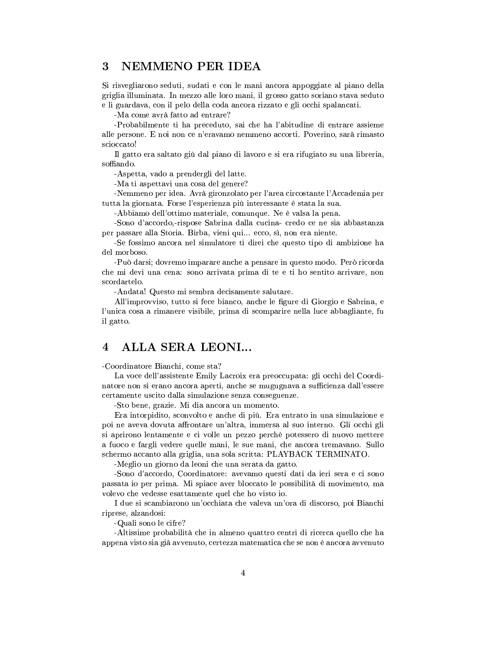## NEMMENO PER IDEA 3

Si risvegliarono seduti, sudati e con le mani ancora appoggiate al piano della griglia illuminata. In mezzo alle loro mani, il grosso gatto soriano stava seduto e li guardava, con il pelo della coda ancora rizzato e gli occhi spalancati.

-Ma come avrà fatto ad entrare?

-Probabilmente ti ha preceduto, sai che ha l'abitudine di entrare assieme alle persone. E noi non ce n'eravamo nemmeno accorti. Poverino, sarà rimasto scioccato!

Il gatto era saltato giù dal piano di lavoro e si era rifugiato su una libreria, soffiando.

-Aspetta, vado a prendergli del latte.

-Ma ti aspettavi una cosa del genere?

-Nemmeno per idea. Avrà gironzolato per l'area circostante l'Accademia per tutta la giornata. Forse l'esperienza più interessante è stata la sua.

-Abbiamo dell'ottimo materiale, comunque. Ne è valsa la pena.

-Sono d'accordo,-rispose Sabrina dalla cucina-credo ce ne sia abbastanza per passare alla Storia. Birba, vieni qui... ecco, sì, non era niente.

-Se fossimo ancora nel simulatore ti direi che questo tipo di ambizione ha del morboso.

-Può darsi; dovremo imparare anche a pensare in questo modo. Però ricorda che mi devi una cena: sono arrivata prima di te e ti ho sentito arrivare, non scordartelo.

-Andata! Questo mi sembra decisamente salutare.

All'improvviso, tutto si fece bianco, anche le figure di Giorgio e Sabrina, e l'unica cosa a rimanere visibile, prima di scomparire nella luce abbagliante, fu il gatto.

### $\overline{\mathcal{A}}$ ALLA SERA LEONI...

-Coordinatore Bianchi, come sta?

La voce dell'assistente Emily Lacroix era preoccupata: gli occhi del Coordinatore non si erano ancora aperti, anche se mugugnava a sufficienza dall'essere certamente uscito dalla simulazione senza conseguenze.

-Sto bene, grazie. Mi dia ancora un momento.

Era interpidito, sconvolto e anche di più. Era entrato in una simulazione e poi ne aveva dovuta affrontare un'altra, immersa al suo interno. Gli occhi gli si aprirono lentamente e ci volle un pezzo perché potessero di nuovo mettere a fuoco e fargli vedere quelle mani, le sue mani, che ancora tremavano. Sullo schermo accanto alla griglia, una sola scritta: PLAYBACK TERMINATO.

-Meglio un giorno da leoni che una serata da gatto.

-Sono d'accordo, Coordinatore: avevamo questi dati da ieri sera e ci sono passata io per prima. Mi spiace aver bloccato le possibilità di movimento, ma volevo che vedesse esattamente quel che ho visto io.

I due si scambiarono un'occhiata che valeva un'ora di discorso, poi Bianchi riprese, alzandosi:

-Quali sono le cifre?

-Altissime probabilità che in almeno quattro centri di ricerca quello che ha appena visto sia già avvenuto, certezza matematica che se non è ancora avvenuto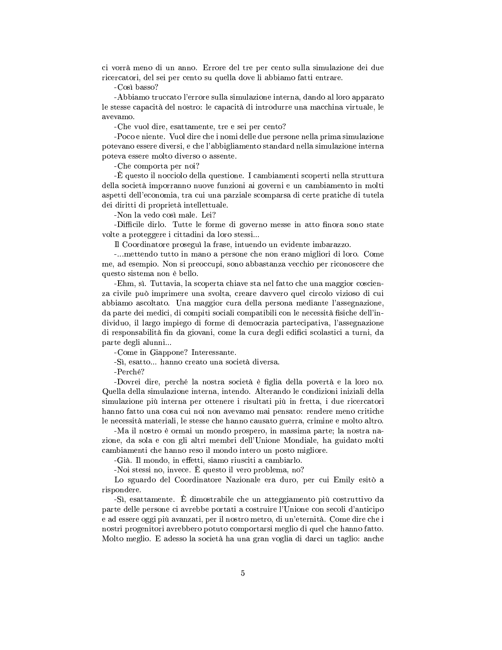ci vorrà meno di un anno. Errore del tre per cento sulla simulazione dei due ricercatori, del sei per cento su quella dove li abbiamo fatti entrare.

-Così basso?

-Abbiamo truccato l'errore sulla simulazione interna, dando al loro apparato le stesse capacità del nostro: le capacità di introdurre una macchina virtuale, le avevamo.

-Che vuol dire, esattamente, tre e sei per cento?

-Poco e niente. Vuol dire che i nomi delle due persone nella prima simulazione potevano essere diversi, e che l'abbigliamento standard nella simulazione interna poteva essere molto diverso o assente.

-Che comporta per noi?

-È questo il nocciolo della questione. I cambiamenti scoperti nella struttura della società imporranno nuove funzioni ai governi e un cambiamento in molti aspetti dell'economia, tra cui una parziale scomparsa di certe pratiche di tutela dei diritti di proprietà intellettuale.

-Non la vedo così male. Lei?

-Difficile dirlo. Tutte le forme di governo messe in atto finora sono state volte a proteggere i cittadini da loro stessi...

Il Coordinatore proseguì la frase, intuendo un evidente imbarazzo.

-...mettendo tutto in mano a persone che non erano migliori di loro. Come me, ad esempio. Non si preoccupi, sono abbastanza vecchio per riconoscere che questo sistema non è bello.

-Ehm, si. Tuttavia, la scoperta chiave sta nel fatto che una maggior coscienza civile può imprimere una svolta, creare davvero quel circolo vizioso di cui abbiamo ascoltato. Una maggior cura della persona mediante l'assegnazione, da parte dei medici, di compiti sociali compatibili con le necessità fisiche dell'individuo, il largo impiego di forme di democrazia partecipativa, l'assegnazione di responsabilità fin da giovani, come la cura degli edifici scolastici a turni, da parte degli alunni...

-Come in Giappone? Interessante.

-Sì, esatto... hanno creato una società diversa.

-Perché?

-Dovrei dire, perché la nostra società è figlia della povertà e la loro no. Quella della simulazione interna, intendo. Alterando le condizioni iniziali della simulazione più interna per ottenere i risultati più in fretta, i due ricercatori hanno fatto una cosa cui noi non avevamo mai pensato: rendere meno critiche le necessità materiali, le stesse che hanno causato guerra, crimine e molto altro.

-Ma il nostro è ormai un mondo prospero, in massima parte; la nostra nazione, da sola e con gli altri membri dell'Unione Mondiale, ha guidato molti cambiamenti che hanno reso il mondo intero un posto migliore.

-Già. Il mondo, in effetti, siamo riusciti a cambiarlo.

-Noi stessi no, invece. È questo il vero problema, no?

Lo sguardo del Coordinatore Nazionale era duro, per cui Emily esitò a rispondere.

-Si, esattamente. È dimostrabile che un atteggiamento più costruttivo da parte delle persone ci avrebbe portati a costruire l'Unione con secoli d'anticipo e ad essere oggi più avanzati, per il nostro metro, di un'eternità. Come dire che i nostri progenitori avrebbero potuto comportarsi meglio di quel che hanno fatto. Molto meglio. E adesso la società ha una gran voglia di darci un taglio: anche